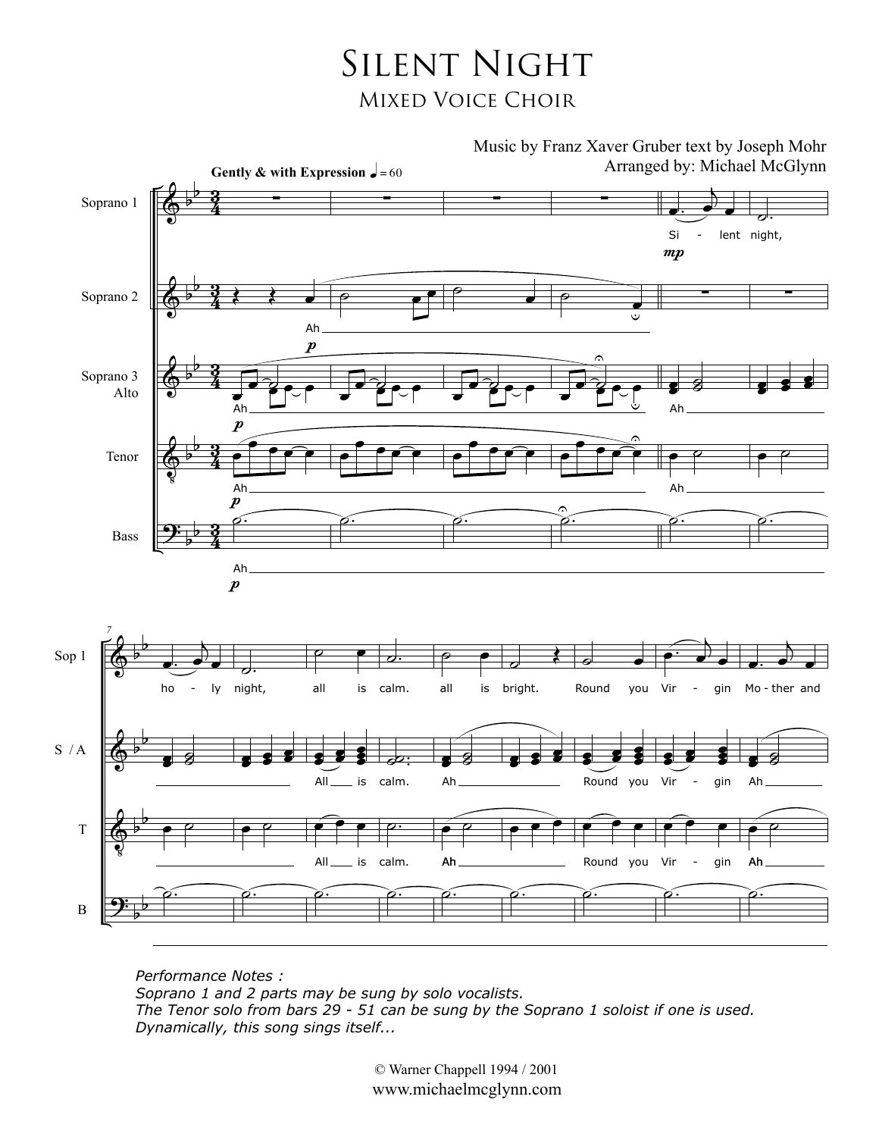## Silent Night Mixed Voice Choir



*Performance Notes : Soprano 1 and 2 parts may be sung by solo vocalists. The Tenor solo from bars 29 - 51 can be sung by the Soprano 1 soloist if one is used. Dynamically, this song sings itself...*

> © Warner Chappell 1994 / 2001 www.michaelmcglynn.com